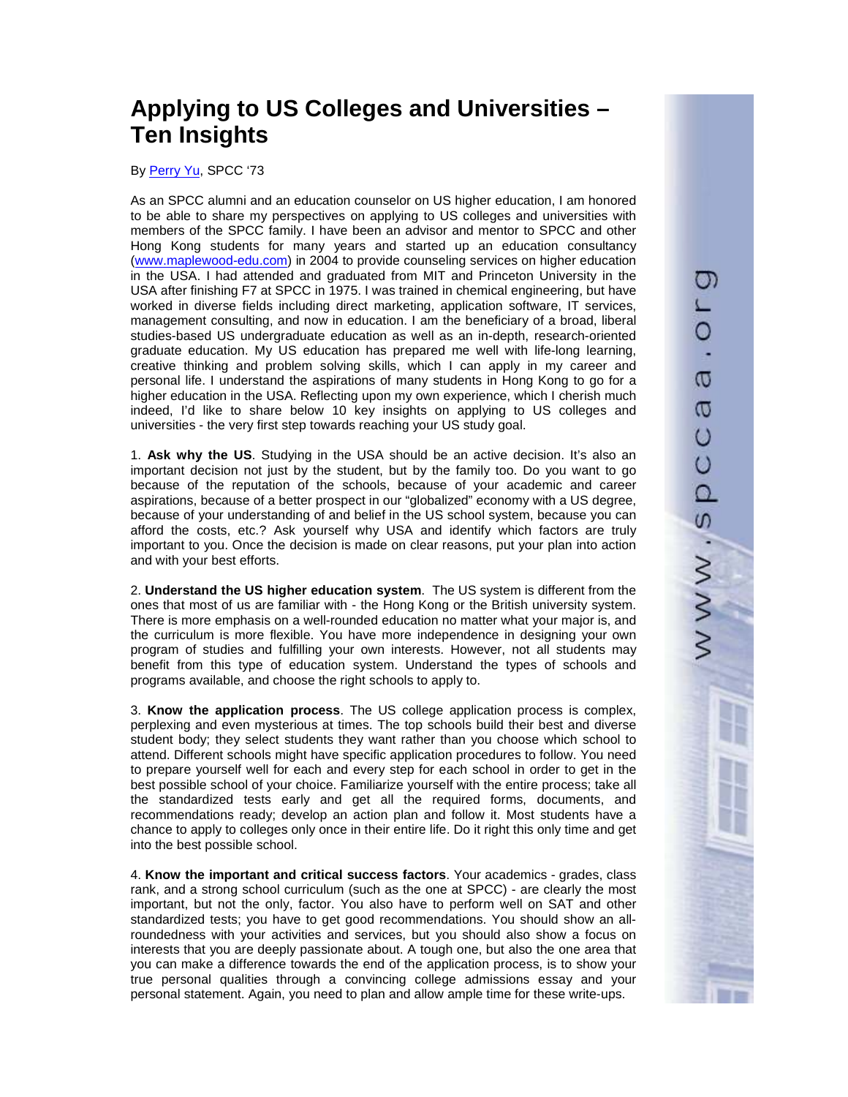## **Applying to US Colleges and Universities – Ten Insights**

By Perry Yu, SPCC '73

As an SPCC alumni and an education counselor on US higher education, I am honored to be able to share my perspectives on applying to US colleges and universities with members of the SPCC family. I have been an advisor and mentor to SPCC and other Hong Kong students for many years and started up an education consultancy (www.maplewood-edu.com) in 2004 to provide counseling services on higher education in the USA. I had attended and graduated from MIT and Princeton University in the USA after finishing F7 at SPCC in 1975. I was trained in chemical engineering, but have worked in diverse fields including direct marketing, application software, IT services, management consulting, and now in education. I am the beneficiary of a broad, liberal studies-based US undergraduate education as well as an in-depth, research-oriented graduate education. My US education has prepared me well with life-long learning, creative thinking and problem solving skills, which I can apply in my career and personal life. I understand the aspirations of many students in Hong Kong to go for a higher education in the USA. Reflecting upon my own experience, which I cherish much indeed, I'd like to share below 10 key insights on applying to US colleges and universities - the very first step towards reaching your US study goal.

1. **Ask why the US**. Studying in the USA should be an active decision. It's also an important decision not just by the student, but by the family too. Do you want to go because of the reputation of the schools, because of your academic and career aspirations, because of a better prospect in our "globalized" economy with a US degree, because of your understanding of and belief in the US school system, because you can afford the costs, etc.? Ask yourself why USA and identify which factors are truly important to you. Once the decision is made on clear reasons, put your plan into action and with your best efforts.

2. **Understand the US higher education system**. The US system is different from the ones that most of us are familiar with - the Hong Kong or the British university system. There is more emphasis on a well-rounded education no matter what your major is, and the curriculum is more flexible. You have more independence in designing your own program of studies and fulfilling your own interests. However, not all students may benefit from this type of education system. Understand the types of schools and programs available, and choose the right schools to apply to.

3. **Know the application process**. The US college application process is complex, perplexing and even mysterious at times. The top schools build their best and diverse student body; they select students they want rather than you choose which school to attend. Different schools might have specific application procedures to follow. You need to prepare yourself well for each and every step for each school in order to get in the best possible school of your choice. Familiarize yourself with the entire process; take all the standardized tests early and get all the required forms, documents, and recommendations ready; develop an action plan and follow it. Most students have a chance to apply to colleges only once in their entire life. Do it right this only time and get into the best possible school.

4. **Know the important and critical success factors**. Your academics - grades, class rank, and a strong school curriculum (such as the one at SPCC) - are clearly the most important, but not the only, factor. You also have to perform well on SAT and other standardized tests; you have to get good recommendations. You should show an allroundedness with your activities and services, but you should also show a focus on interests that you are deeply passionate about. A tough one, but also the one area that you can make a difference towards the end of the application process, is to show your true personal qualities through a convincing college admissions essay and your personal statement. Again, you need to plan and allow ample time for these write-ups.